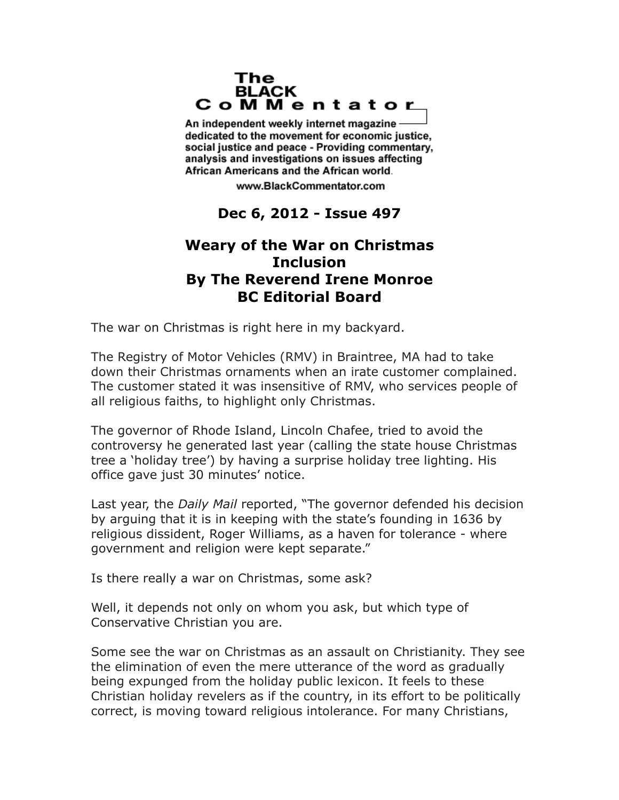## The **BLACK** CoMMentator

An independent weekly internet magazine dedicated to the movement for economic justice. social justice and peace - Providing commentary, analysis and investigations on issues affecting African Americans and the African world.

www.BlackCommentator.com

## **Dec 6, 2012 - Issue 497**

## **Weary of the War on Christmas Inclusion By The Reverend Irene Monroe BC Editorial Board**

The war on Christmas is right here in my backyard.

The Registry of Motor Vehicles (RMV) in Braintree, MA had to take down their Christmas ornaments when an irate customer complained. The customer stated it was insensitive of RMV, who services people of all religious faiths, to highlight only Christmas.

The governor of Rhode Island, Lincoln Chafee, tried to avoid the controversy he generated last year (calling the state house Christmas tree a 'holiday tree') by having a surprise holiday tree lighting. His office gave just 30 minutes' notice.

Last year, the *Daily Mail* reported, "The governor defended his decision by arguing that it is in keeping with the state's founding in 1636 by religious dissident, Roger Williams, as a haven for tolerance - where government and religion were kept separate."

Is there really a war on Christmas, some ask?

Well, it depends not only on whom you ask, but which type of Conservative Christian you are.

Some see the war on Christmas as an assault on Christianity. They see the elimination of even the mere utterance of the word as gradually being expunged from the holiday public lexicon. It feels to these Christian holiday revelers as if the country, in its effort to be politically correct, is moving toward religious intolerance. For many Christians,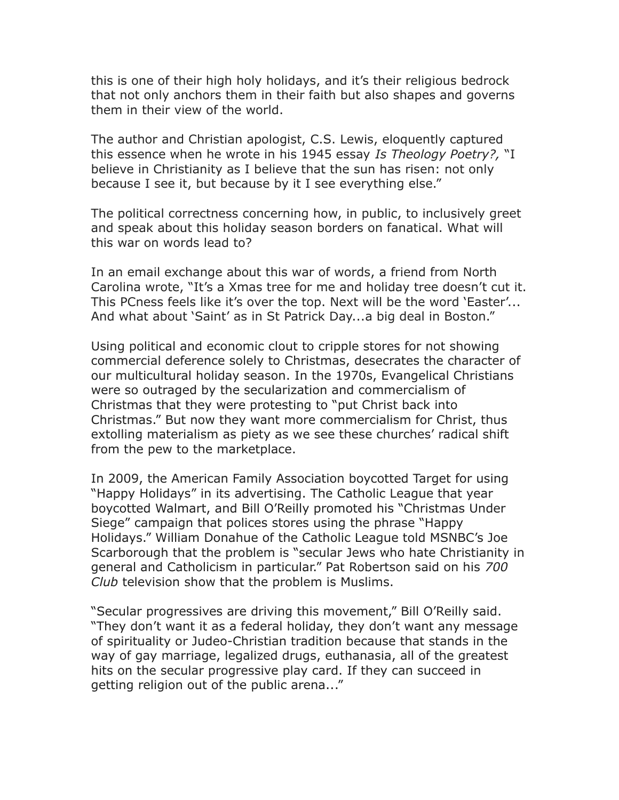this is one of their high holy holidays, and it's their religious bedrock that not only anchors them in their faith but also shapes and governs them in their view of the world.

The author and Christian apologist, C.S. Lewis, eloquently captured this essence when he wrote in his 1945 essay *Is Theology Poetry?,* "I believe in Christianity as I believe that the sun has risen: not only because I see it, but because by it I see everything else."

The political correctness concerning how, in public, to inclusively greet and speak about this holiday season borders on fanatical. What will this war on words lead to?

In an email exchange about this war of words, a friend from North Carolina wrote, "It's a Xmas tree for me and holiday tree doesn't cut it. This PCness feels like it's over the top. Next will be the word 'Easter'... And what about 'Saint' as in St Patrick Day...a big deal in Boston."

Using political and economic clout to cripple stores for not showing commercial deference solely to Christmas, desecrates the character of our multicultural holiday season. In the 1970s, Evangelical Christians were so outraged by the secularization and commercialism of Christmas that they were protesting to "put Christ back into Christmas." But now they want more commercialism for Christ, thus extolling materialism as piety as we see these churches' radical shift from the pew to the marketplace.

In 2009, the American Family Association boycotted Target for using "Happy Holidays" in its advertising. The Catholic League that year boycotted Walmart, and Bill O'Reilly promoted his "Christmas Under Siege" campaign that polices stores using the phrase "Happy Holidays." William Donahue of the Catholic League told MSNBC's Joe Scarborough that the problem is "secular Jews who hate Christianity in general and Catholicism in particular." Pat Robertson said on his *700 Club* television show that the problem is Muslims.

"Secular progressives are driving this movement," Bill O'Reilly said. "They don't want it as a federal holiday, they don't want any message of spirituality or Judeo-Christian tradition because that stands in the way of gay marriage, legalized drugs, euthanasia, all of the greatest hits on the secular progressive play card. If they can succeed in getting religion out of the public arena..."